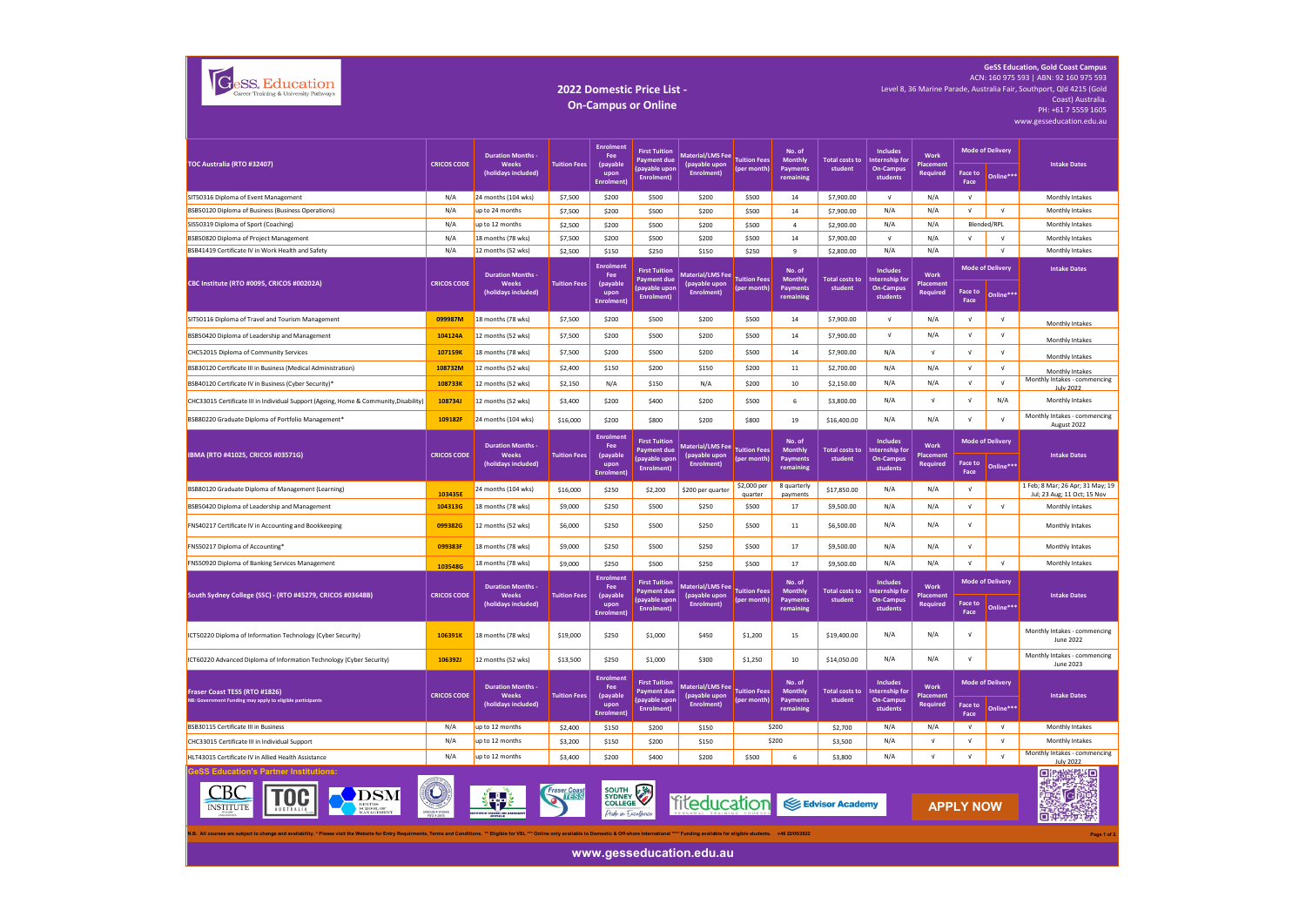| Career Training & University Pathways |
|---------------------------------------|
|---------------------------------------|

## **2022 Domestic Price List - On-Campus or Online**

**GeSS Education, Gold Coast Campus** ACN: 160 975 593 | ABN: 92 160 975 593 ACN: 160 975 593 | ABN: 92 160 975 593 Level 8, 36 Marine Parade, Australia Fair, Southport, Qld 4215 (Gold Coast) Australia.<br>PH: +61 7 5559 1605 www.gesseducation.edu.au

| TOC Australia (RTO #32407)                                                                                                                                                                                                                                 | <b>CRICOS CODE</b>        | <b>Duration Months -</b><br>Weeks<br>(holidays included)      | <b>Tuition Fees</b>              | <b>Enrolment</b><br>Fee<br><i>(pavable</i><br>upon<br><b>Enrolment</b> | <b>First Tuition</b><br><b>Payment due</b><br>(payable upon<br>Enrolment)         | Material/LMS Fee Tuition Fees<br>(pavable upon<br>Enrolment) | (per month)                        | No. of<br><b>Monthly</b><br><b>Payments</b><br>remaining | <b>Total costs to</b><br>student | <b>Includes</b><br>Internship for<br><b>On-Campus</b><br>students                  | Work<br>Placement<br>Required        | <b>Mode of Delivery</b> |                                      | <b>Intake Dates</b>                                             |
|------------------------------------------------------------------------------------------------------------------------------------------------------------------------------------------------------------------------------------------------------------|---------------------------|---------------------------------------------------------------|----------------------------------|------------------------------------------------------------------------|-----------------------------------------------------------------------------------|--------------------------------------------------------------|------------------------------------|----------------------------------------------------------|----------------------------------|------------------------------------------------------------------------------------|--------------------------------------|-------------------------|--------------------------------------|-----------------------------------------------------------------|
|                                                                                                                                                                                                                                                            |                           |                                                               |                                  |                                                                        |                                                                                   |                                                              |                                    |                                                          |                                  |                                                                                    |                                      | Face to<br>Face         | Online***                            |                                                                 |
| SIT50316 Diploma of Event Management                                                                                                                                                                                                                       | N/A                       | 24 months (104 wks)                                           | \$7,500                          | \$200                                                                  | \$500                                                                             | \$200                                                        | \$500                              | 14                                                       | \$7,900.00                       | $\sqrt{ }$                                                                         | N/A                                  | $\sqrt{ }$              |                                      | Monthly Intakes                                                 |
| BSB50120 Diploma of Business (Business Operations)                                                                                                                                                                                                         | N/A                       | up to 24 months                                               | \$7,500                          | \$200                                                                  | \$500                                                                             | \$200                                                        | \$500                              | 14                                                       | \$7,900.00                       | N/A                                                                                | N/A                                  | $\sqrt{ }$              | $\sqrt{ }$                           | Monthly Intakes                                                 |
| SIS50319 Diploma of Sport (Coaching)                                                                                                                                                                                                                       | N/A                       | up to 12 months                                               | \$2,500                          | \$200                                                                  | \$500                                                                             | \$200                                                        | \$500                              | $\overline{4}$                                           | \$2,900.00                       | N/A                                                                                | N/A                                  |                         | Blended/RPL                          | Monthly Intakes                                                 |
| BSB50820 Diploma of Project Management                                                                                                                                                                                                                     | N/A                       | 18 months (78 wks)                                            | \$7,500                          | \$200                                                                  | \$500                                                                             | \$200                                                        | \$500                              | 14                                                       | \$7,900.00                       | $\sqrt{ }$                                                                         | N/A                                  | $\sqrt{ }$              | $\sqrt{ }$                           | Monthly Intakes                                                 |
| BSB41419 Certificate IV in Work Health and Safety                                                                                                                                                                                                          | N/A                       | 12 months (52 wks)                                            | \$2,500                          | \$150                                                                  | \$250                                                                             | \$150                                                        | \$250                              | 9                                                        | \$2,800.00                       | N/A                                                                                | N/A                                  |                         | $\sqrt{ }$                           | Monthly Intakes                                                 |
| CBC Institute (RTO #0095, CRICOS #00202A)                                                                                                                                                                                                                  | <b>CRICOS CODE</b>        | <b>Duration Months -</b><br>Weeks<br>(holidays included)      | <b>Tuition Fees</b>              | <b>Enrolment</b><br>Fee<br>(payable<br>upon<br><b>Enrolment</b>        | <b>First Tuition</b><br><b>Payment due</b><br>(payable upon<br>Enrolment)         | Material/LMS Fee<br>(payable upon<br><b>Enrolment)</b>       | <b>Tuition Fees</b><br>(per month) | No. of<br><b>Monthly</b><br>Payments<br>remaining        | student                          | <b>Includes</b><br>Total costs to   Internship for<br><b>On-Campus</b><br>students | Work<br>Placement<br><b>Required</b> | Face to<br>Face         | <b>Mode of Delivery</b><br>Online*** | <b>Intake Dates</b>                                             |
| SIT50116 Diploma of Travel and Tourism Management                                                                                                                                                                                                          | 099987M                   | 18 months (78 wks)                                            | \$7,500                          | \$200                                                                  | \$500                                                                             | \$200                                                        | \$500                              | 14                                                       | \$7,900.00                       | V                                                                                  | N/A                                  | $\sqrt{ }$              | $\sqrt{ }$                           | Monthly Intakes                                                 |
| BSB50420 Diploma of Leadership and Management                                                                                                                                                                                                              | 104124A                   | 12 months (52 wks)                                            | \$7,500                          | \$200                                                                  | \$500                                                                             | \$200                                                        | \$500                              | 14                                                       | \$7,900.00                       | $\sqrt{ }$                                                                         | N/A                                  | $\sqrt{ }$              | $\sqrt{ }$                           | Monthly Intakes                                                 |
| CHC52015 Diploma of Community Services                                                                                                                                                                                                                     | 107159K                   | 18 months (78 wks)                                            | \$7,500                          | \$200                                                                  | \$500                                                                             | \$200                                                        | \$500                              | 14                                                       | \$7,900.00                       | N/A                                                                                | $\sqrt{ }$                           | $\sqrt{ }$              | $\sqrt{ }$                           | Monthly Intakes                                                 |
| BSB30120 Certificate III in Business (Medical Administration)                                                                                                                                                                                              | 108732M                   | 12 months (52 wks)                                            | \$2,400                          | \$150                                                                  | \$200                                                                             | \$150                                                        | \$200                              | 11                                                       | \$2,700.00                       | N/A                                                                                | N/A                                  | $\sqrt{ }$              | $\sqrt{ }$                           | Monthly Intakes                                                 |
| BSB40120 Certificate IV in Business (Cyber Security)*                                                                                                                                                                                                      | 108733K                   | 12 months (52 wks)                                            | \$2,150                          | N/A                                                                    | \$150                                                                             | N/A                                                          | \$200                              | 10                                                       | \$2,150.00                       | N/A                                                                                | N/A                                  | $\sqrt{ }$              | $\sqrt{ }$                           | Monthly Intakes - commencing<br><b>July 2022</b>                |
| CHC33015 Certificate III in Individual Support (Ageing, Home & Community, Disability)                                                                                                                                                                      | 108734J                   | 12 months (52 wks)                                            | \$3,400                          | \$200                                                                  | \$400                                                                             | \$200                                                        | \$500                              | 6                                                        | \$3,800.00                       | N/A                                                                                | $\sqrt{ }$                           | $\sqrt{ }$              | N/A                                  | Monthly Intakes                                                 |
| BSB80220 Graduate Diploma of Portfolio Management <sup>*</sup>                                                                                                                                                                                             | 109182F                   | 24 months (104 wks)                                           | \$16,000                         | \$200                                                                  | \$800                                                                             | \$200                                                        | \$800                              | 19                                                       | \$16,400.00                      | N/A                                                                                | N/A                                  | $\mathsf{V}$            | $\sqrt{ }$                           | Monthly Intakes - commencing<br>August 2022                     |
| IBMA (RTO #41025, CRICOS #03571G)                                                                                                                                                                                                                          | <b>CRICOS CODE</b>        | <b>Duration Months</b><br>Weeks<br>(holidays included)        | <b>Tuition Fees</b>              | <b>Enrolment</b><br>Fee<br>(payable<br>upon<br><b>Enrolment)</b>       | <b>First Tuition</b><br><b>Payment due</b><br>(payable upon<br><b>Enrolment</b> ) | <b>Material/LMS Fee</b><br>(payable upon<br>Enrolment)       | <b>Tuition Fees</b><br>(per month) | No. of<br><b>Monthly</b><br>Payments<br>remaining        | <b>Total costs to</b><br>student | <b>Includes</b><br><b>Internship for</b><br><b>On-Campus</b><br>students           | Work<br>Placement<br>Required        | Face to<br>Face         | <b>Mode of Delivery</b><br>Online*** | <b>Intake Dates</b>                                             |
| BSB80120 Graduate Diploma of Management (Learning)                                                                                                                                                                                                         | 103435E                   | 24 months (104 wks)                                           | \$16,000                         | \$250                                                                  | \$2,200                                                                           | \$200 per quarter                                            | \$2,000 per<br>quarter             | 8 quarterly<br>payments                                  | \$17,850.00                      | N/A                                                                                | N/A                                  | $\sqrt{ }$              |                                      | 1 Feb: 8 Mar: 26 Apr: 31 May: 19<br>Jul; 23 Aug; 11 Oct; 15 Nov |
| BSB50420 Diploma of Leadership and Management                                                                                                                                                                                                              | 104313G                   | 18 months (78 wks)                                            | \$9,000                          | \$250                                                                  | \$500                                                                             | \$250                                                        | \$500                              | 17                                                       | \$9,500.00                       | N/A                                                                                | N/A                                  | $\sqrt{ }$              | $\sqrt{ }$                           | Monthly Intakes                                                 |
| FNS40217 Certificate IV in Accounting and Bookkeeping                                                                                                                                                                                                      | 099382G                   | 12 months (52 wks)                                            | \$6,000                          | \$250                                                                  | \$500                                                                             | \$250                                                        | \$500                              | 11                                                       | \$6,500.00                       | N/A                                                                                | N/A                                  | $\sqrt{ }$              |                                      | Monthly Intakes                                                 |
| FNS50217 Diploma of Accounting*                                                                                                                                                                                                                            | 099383F                   | 18 months (78 wks)                                            | \$9,000                          | \$250                                                                  | \$500                                                                             | \$250                                                        | \$500                              | 17                                                       | \$9,500.00                       | N/A                                                                                | N/A                                  | $\mathsf{V}$            |                                      | Monthly Intakes                                                 |
| FNS50920 Diploma of Banking Services Management                                                                                                                                                                                                            | 103548G                   | 18 months (78 wks)                                            | \$9,000                          | \$250                                                                  | \$500                                                                             | \$250                                                        | \$500                              | 17                                                       | \$9,500.00                       | N/A                                                                                | N/A                                  | $\sqrt{ }$              | $\sqrt{ }$                           | Monthly Intakes                                                 |
| South Sydney College (SSC) - (RTO #45279, CRICOS #03648B)                                                                                                                                                                                                  | <b>CRICOS CODE</b>        | <b>Duration Months</b><br><b>Weeks</b><br>(holidays included) | <b>Tuition Fees</b>              | <b>Enrolment</b><br>Fee<br>(payable<br>upon<br>Enrolment)              | <b>First Tuition</b><br><b>Payment due</b><br>(payable upon<br>Enrolment)         | <b>Material/LMS Fee</b><br>(payable upon<br>Enrolment)       | <b>Tuition Fees</b><br>(per month) | No. of<br>Monthly<br><b>Payments</b><br>remaining        | <b>Total costs to</b><br>student | <b>Includes</b><br>Internship for<br><b>On-Campus</b><br>students                  | Work<br><b>Placement</b><br>Required | Face to<br>Face         | <b>Mode of Delivery</b><br>Online*** | <b>Intake Dates</b>                                             |
| ICT50220 Diploma of Information Technology (Cyber Security)                                                                                                                                                                                                | 106391K                   | 18 months (78 wks)                                            | \$19,000                         | \$250                                                                  | \$1,000                                                                           | \$450                                                        | \$1,200                            | 15                                                       | \$19,400.00                      | N/A                                                                                | N/A                                  | $\sqrt{ }$              |                                      | Monthly Intakes - commencing<br>June 2022                       |
| ICT60220 Advanced Diploma of Information Technology (Cyber Security)                                                                                                                                                                                       | 106392J                   | 12 months (52 wks)                                            | \$13,500                         | \$250                                                                  | \$1,000                                                                           | \$300                                                        | \$1,250                            | $10\,$                                                   | \$14,050.00                      | N/A                                                                                | N/A                                  | $\mathsf{V}$            |                                      | Monthly Intakes - commencing<br>June 2023                       |
| Fraser Coast TESS (RTO #1826)<br>NB: Government Funding may apply to eligible participants                                                                                                                                                                 | <b>CRICOS CODE</b>        | <b>Duration Months</b><br>Weeks<br>(holidays included)        | <b>Tuition Fees</b>              | Enrolment<br>Fee<br>(payable<br>upon<br><b>Enrolment)</b>              | <b>First Tuition</b><br><b>Payment due</b><br>(payable upon<br>Enrolment)         | Material/LMS Fee<br>(payable upon<br><b>Enrolment</b> )      | <b>Tuition Fees</b><br>(per month) | No. of<br><b>Monthly</b><br>Payments<br>remaining        | <b>Total costs to</b><br>student | <b>Includes</b><br>Internship for<br><b>On-Campus</b><br>students                  | Work<br>Placement<br><b>Required</b> | Face to<br>Face         | <b>Mode of Delivery</b><br>Online*** | <b>Intake Dates</b>                                             |
| BSB30115 Certificate III in Business                                                                                                                                                                                                                       | N/A                       | up to 12 months                                               | \$2,400                          | \$150                                                                  | \$200                                                                             | \$150                                                        |                                    | \$200                                                    | \$2,700                          | N/A                                                                                | N/A                                  | $\sqrt{ }$              | $\sqrt{ }$                           | <b>Monthly Intakes</b>                                          |
| CHC33015 Certificate III in Individual Support                                                                                                                                                                                                             | N/A                       | up to 12 months                                               | \$3,200                          | \$150                                                                  | \$200                                                                             | \$150                                                        |                                    | \$200                                                    | \$3,500                          | N/A                                                                                | $\sqrt{ }$                           | $\sqrt{ }$              | $\sqrt{ }$                           | Monthly Intakes                                                 |
| HLT43015 Certificate IV in Allied Health Assistance                                                                                                                                                                                                        | N/A                       | up to 12 months                                               | \$3,400                          | \$200                                                                  | \$400                                                                             | \$200                                                        | \$500                              | 6                                                        | \$3,800                          | N/A                                                                                | $\sqrt{ }$                           | $\sqrt{ }$              | $\sqrt{ }$                           | Monthly Intakes - commencing<br>uly 2022                        |
| <b>GeSS Education's Partner Institutions:</b>                                                                                                                                                                                                              | $\left( \bigcirc \right)$ |                                                               | <b>Fraser Coa</b><br><b>TESS</b> | <b>SOUTH</b><br><b>SYDNEY</b><br><b>COLLEGE</b><br>Dride in Fxcellence | E                                                                                 | <b>Titeducation</b> SE Edvisor Academy                       |                                    |                                                          |                                  |                                                                                    |                                      | <b>APPLY NOW</b>        |                                      | 淡淡黑<br>Oμ<br>$\overline{G}$<br>口番                               |
| N.B. All courses are subject to change and availability. * Please visit the Website for Entry Requirments, Terms and Conditions. ** Eligible for VSL *** Online only available to Domestic & Off-shore International **** Fund<br>www.gesseducation.edu.au |                           |                                                               |                                  |                                                                        |                                                                                   |                                                              |                                    |                                                          |                                  |                                                                                    | Page 1 of 2                          |                         |                                      |                                                                 |